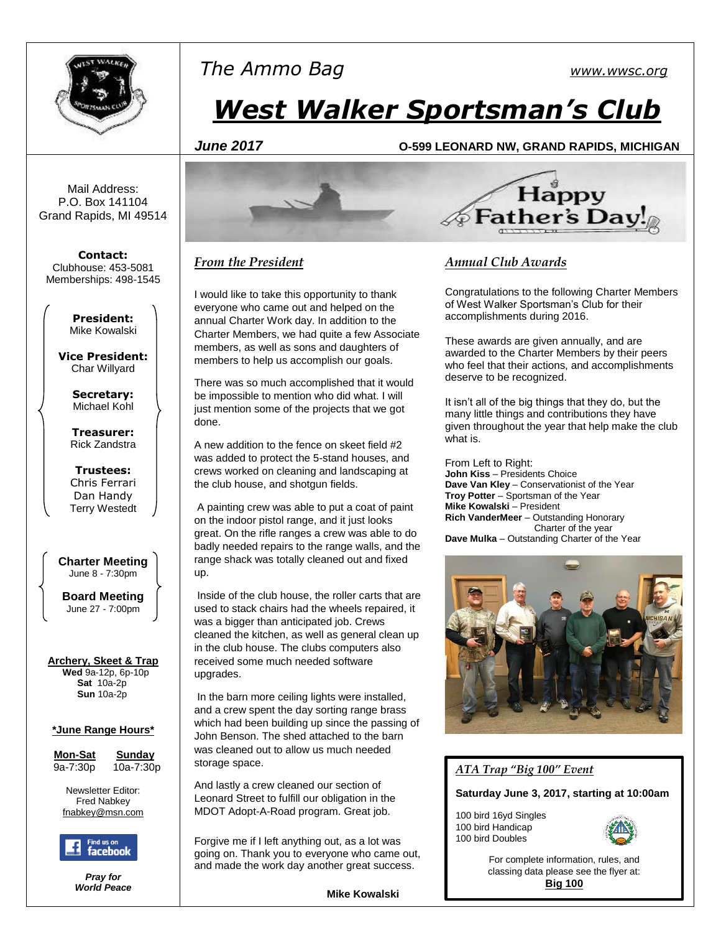

## *The Ammo Bag [www.wwsc.org](http://www.wwsc.org/)*

# *West Walker Sportsman's Club*

#### *June 2017* **O-599 LEONARD NW, GRAND RAPIDS, MICHIGAN**

Mail Address: P.O. Box 141104 Grand Rapids, MI 49514

**Contact:** Clubhouse: 453-5081 Memberships: 498-1545

> **President:** Mike Kowalski

**Vice President:** Char Willyard

> **Secretary:** Michael Kohl

**Treasurer:** Rick Zandstra

**Trustees:** Chris Ferrari Dan Handy Terry Westedt

**Charter Meeting**  June 8 - 7:30pm

**Board Meeting** June 27 - 7:00pm

#### **Archery, Skeet & Trap**

 **Wed** 9a-12p, 6p-10p **Sat** 10a-2p **Sun** 10a-2p

#### **\*June Range Hours\***

**<u>Mon-Sat Sunday</u><br>9a-7:30p 10a-7:30** 

9a-7:30p 10a-7:30p

Newsletter Editor: Fred Nabkey [fnabkey@msn.com](mailto:fnabkey@msn.com)



*Pray for World Peace*



#### *From the President*

I would like to take this opportunity to thank everyone who came out and helped on the annual Charter Work day. In addition to the Charter Members, we had quite a few Associate members, as well as sons and daughters of members to help us accomplish our goals.

There was so much accomplished that it would be impossible to mention who did what. I will just mention some of the projects that we got done.

A new addition to the fence on skeet field #2 was added to protect the 5-stand houses, and crews worked on cleaning and landscaping at the club house, and shotgun fields.

A painting crew was able to put a coat of paint on the indoor pistol range, and it just looks great. On the rifle ranges a crew was able to do badly needed repairs to the range walls, and the range shack was totally cleaned out and fixed up.

Inside of the club house, the roller carts that are used to stack chairs had the wheels repaired, it was a bigger than anticipated job. Crews cleaned the kitchen, as well as general clean up in the club house. The clubs computers also received some much needed software upgrades.

In the barn more ceiling lights were installed, and a crew spent the day sorting range brass which had been building up since the passing of John Benson. The shed attached to the barn was cleaned out to allow us much needed storage space.

And lastly a crew cleaned our section of Leonard Street to fulfill our obligation in the MDOT Adopt-A-Road program. Great job.

Forgive me if I left anything out, as a lot was going on. Thank you to everyone who came out, and made the work day another great success.



#### *Annual Club Awards*

Congratulations to the following Charter Members of West Walker Sportsman's Club for their accomplishments during 2016.

These awards are given annually, and are awarded to the Charter Members by their peers who feel that their actions, and accomplishments deserve to be recognized.

It isn't all of the big things that they do, but the many little things and contributions they have given throughout the year that help make the club what is.

From Left to Right: **John Kiss** – Presidents Choice **Dave Van Kley** – Conservationist of the Year **Troy Potter** – Sportsman of the Year **Mike Kowalski** – President **Rich VanderMeer** – Outstanding Honorary Charter of the year **Dave Mulka** – Outstanding Charter of the Year



#### *ATA Trap "Big 100" Event*

**Saturday June 3, 2017, starting at 10:00am**

100 bird 16yd Singles 100 bird Handicap 100 bird Doubles



For complete information, rules, and classing data please see the flyer at: **[Big 100](http://www.wwsc.org/img/ata-nssa/ATAprogram.2017.06.03.pdf)**

**Mike Kowalski**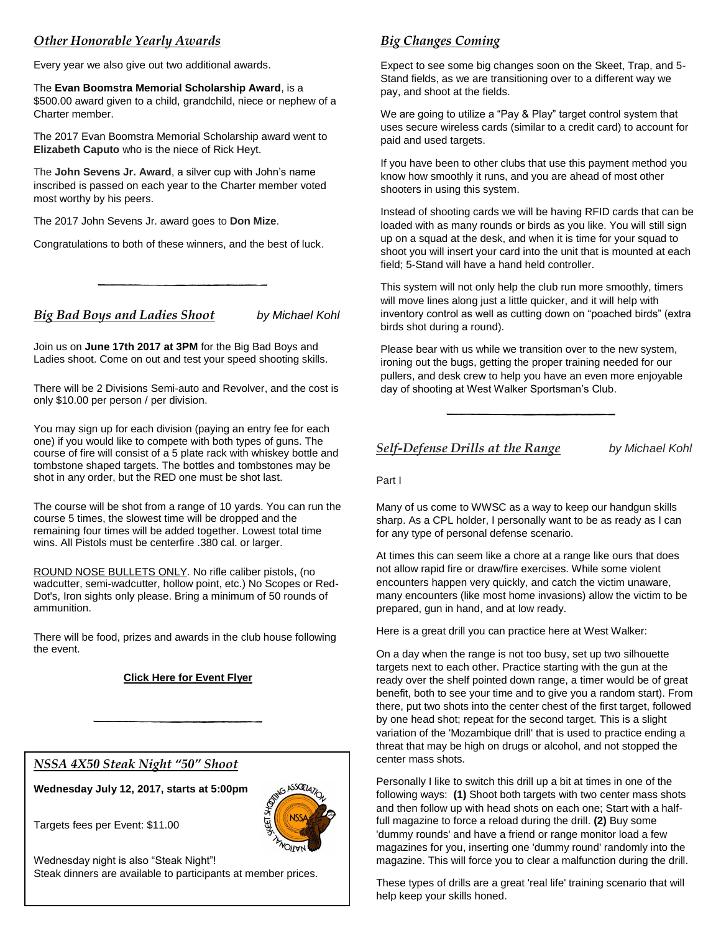#### *Other Honorable Yearly Awards*

Every year we also give out two additional awards.

The **Evan Boomstra Memorial Scholarship Award**, is a \$500.00 award given to a child, grandchild, niece or nephew of a Charter member.

The 2017 Evan Boomstra Memorial Scholarship award went to **Elizabeth Caputo** who is the niece of Rick Heyt.

The **John Sevens Jr. Award**, a silver cup with John's name inscribed is passed on each year to the Charter member voted most worthy by his peers.

The 2017 John Sevens Jr. award goes to **Don Mize**.

Congratulations to both of these winners, and the best of luck.

*Big Bad Boys and Ladies Shoot by Michael Kohl*

Join us on **June 17th 2017 at 3PM** for the Big Bad Boys and Ladies shoot. Come on out and test your speed shooting skills.

There will be 2 Divisions Semi-auto and Revolver, and the cost is only \$10.00 per person / per division.

You may sign up for each division (paying an entry fee for each one) if you would like to compete with both types of guns. The course of fire will consist of a 5 plate rack with whiskey bottle and tombstone shaped targets. The bottles and tombstones may be shot in any order, but the RED one must be shot last.

The course will be shot from a range of 10 yards. You can run the course 5 times, the slowest time will be dropped and the remaining four times will be added together. Lowest total time wins. All Pistols must be centerfire .380 cal. or larger.

ROUND NOSE BULLETS ONLY. No rifle caliber pistols, (no wadcutter, semi-wadcutter, hollow point, etc.) No Scopes or Red-Dot's, Iron sights only please. Bring a minimum of 50 rounds of ammunition.

There will be food, prizes and awards in the club house following the event.

#### **[Click Here for Event Flyer](http://www.wwsc.org/img/archives/2017/bbb_flyer_2017.pdf)**

#### *NSSA 4X50 Steak Night "50" Shoot*

**Wednesday July 12, 2017, starts at 5:00pm**



Targets fees per Event: \$11.00

Wednesday night is also "Steak Night"! Steak dinners are available to participants at member prices.

### *Big Changes Coming*

Expect to see some big changes soon on the Skeet, Trap, and 5- Stand fields, as we are transitioning over to a different way we pay, and shoot at the fields.

We are going to utilize a "Pay & Play" target control system that uses secure wireless cards (similar to a credit card) to account for paid and used targets.

If you have been to other clubs that use this payment method you know how smoothly it runs, and you are ahead of most other shooters in using this system.

Instead of shooting cards we will be having RFID cards that can be loaded with as many rounds or birds as you like. You will still sign up on a squad at the desk, and when it is time for your squad to shoot you will insert your card into the unit that is mounted at each field; 5-Stand will have a hand held controller.

This system will not only help the club run more smoothly, timers will move lines along just a little quicker, and it will help with inventory control as well as cutting down on "poached birds" (extra birds shot during a round).

Please bear with us while we transition over to the new system, ironing out the bugs, getting the proper training needed for our pullers, and desk crew to help you have an even more enjoyable day of shooting at West Walker Sportsman's Club.

*Self-Defense Drills at the Range by Michael Kohl*

Part I

Many of us come to WWSC as a way to keep our handgun skills sharp. As a CPL holder, I personally want to be as ready as I can for any type of personal defense scenario.

At times this can seem like a chore at a range like ours that does not allow rapid fire or draw/fire exercises. While some violent encounters happen very quickly, and catch the victim unaware, many encounters (like most home invasions) allow the victim to be prepared, gun in hand, and at low ready.

Here is a great drill you can practice here at West Walker:

On a day when the range is not too busy, set up two silhouette targets next to each other. Practice starting with the gun at the ready over the shelf pointed down range, a timer would be of great benefit, both to see your time and to give you a random start). From there, put two shots into the center chest of the first target, followed by one head shot; repeat for the second target. This is a slight variation of the 'Mozambique drill' that is used to practice ending a threat that may be high on drugs or alcohol, and not stopped the center mass shots.

Personally I like to switch this drill up a bit at times in one of the following ways: **(1)** Shoot both targets with two center mass shots and then follow up with head shots on each one; Start with a halffull magazine to force a reload during the drill. **(2)** Buy some 'dummy rounds' and have a friend or range monitor load a few magazines for you, inserting one 'dummy round' randomly into the magazine. This will force you to clear a malfunction during the drill.

These types of drills are a great 'real life' training scenario that will help keep your skills honed.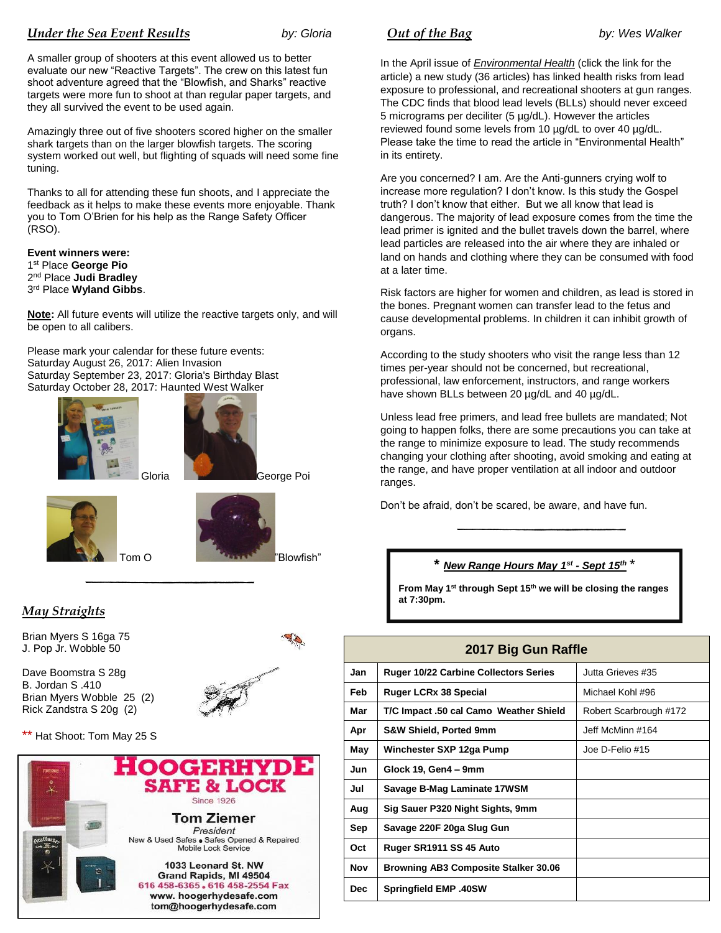#### *Under the Sea Event Results by: Gloria*

A smaller group of shooters at this event allowed us to better evaluate our new "Reactive Targets". The crew on this latest fun shoot adventure agreed that the "Blowfish, and Sharks" reactive targets were more fun to shoot at than regular paper targets, and they all survived the event to be used again.

Amazingly three out of five shooters scored higher on the smaller shark targets than on the larger blowfish targets. The scoring system worked out well, but flighting of squads will need some fine tuning.

Thanks to all for attending these fun shoots, and I appreciate the feedback as it helps to make these events more enjoyable. Thank you to Tom O'Brien for his help as the Range Safety Officer (RSO).

**Event winners were:** st Place **George Pio** nd Place **Judi Bradley** rd Place **Wyland Gibbs**.

**Note:** All future events will utilize the reactive targets only, and will be open to all calibers.

Please mark your calendar for these future events: Saturday August 26, 2017: Alien Invasion Saturday September 23, 2017: Gloria's Birthday Blast Saturday October 28, 2017: Haunted West Walker





Gloria **Grand George Poi** 





*May Straights*

Brian Myers S 16ga 75 J. Pop Jr. Wobble 50

Dave Boomstra S 28g B. Jordan S .410 Brian Myers Wobble 25 (2) Rick Zandstra S 20g (2)



\*\* Hat Shoot: Tom May 25 S



*<u>Out of the Bag</u> by: Wes Walker* 

In the April issue of *[Environmental Health](https://ehjournal.biomedcentral.com/articles/10.1186/s12940-017-0246-0)* (click the link for the article) a new study (36 articles) has linked health risks from lead exposure to professional, and recreational shooters at gun ranges. The CDC finds that blood lead levels (BLLs) should never exceed 5 micrograms per deciliter (5 µg/dL). However the articles reviewed found some levels from 10 µg/dL to over 40 µg/dL. Please take the time to read the article in "Environmental Health" in its entirety.

Are you concerned? I am. Are the Anti-gunners crying wolf to increase more regulation? I don't know. Is this study the Gospel truth? I don't know that either. But we all know that lead is dangerous. The majority of lead exposure comes from the time the lead primer is ignited and the bullet travels down the barrel, where lead particles are released into the air where they are inhaled or land on hands and clothing where they can be consumed with food at a later time.

Risk factors are higher for women and children, as lead is stored in the bones. Pregnant women can transfer lead to the fetus and cause developmental problems. In children it can inhibit growth of organs.

According to the study shooters who visit the range less than 12 times per-year should not be concerned, but recreational, professional, law enforcement, instructors, and range workers have shown BLLs between 20 µg/dL and 40 µg/dL.

Unless lead free primers, and lead free bullets are mandated; Not going to happen folks, there are some precautions you can take at the range to minimize exposure to lead. The study recommends changing your clothing after shooting, avoid smoking and eating at the range, and have proper ventilation at all indoor and outdoor ranges.

Don't be afraid, don't be scared, be aware, and have fun.

#### **\*** *New Range Hours May 1st - Sept 15th* \*

**From May 1st through Sept 15th we will be closing the ranges at 7:30pm.**

#### **2017 Big Gun Raffle**

| Jan        | <b>Ruger 10/22 Carbine Collectors Series</b> | Jutta Grieves #35      |
|------------|----------------------------------------------|------------------------|
| Feb        | <b>Ruger LCRx 38 Special</b>                 | Michael Kohl #96       |
| Mar        | T/C Impact .50 cal Camo Weather Shield       | Robert Scarbrough #172 |
| Apr        | <b>S&amp;W Shield, Ported 9mm</b>            | Jeff McMinn #164       |
| May        | Winchester SXP 12ga Pump                     | Joe D-Felio #15        |
| Jun        | Glock 19, Gen4 - 9mm                         |                        |
| Jul        | Savage B-Mag Laminate 17WSM                  |                        |
| Aug        | Sig Sauer P320 Night Sights, 9mm             |                        |
| Sep        | Savage 220F 20ga Slug Gun                    |                        |
| Oct        | Ruger SR1911 SS 45 Auto                      |                        |
| Nov        | Browning AB3 Composite Stalker 30.06         |                        |
| <b>Dec</b> | <b>Springfield EMP .40SW</b>                 |                        |